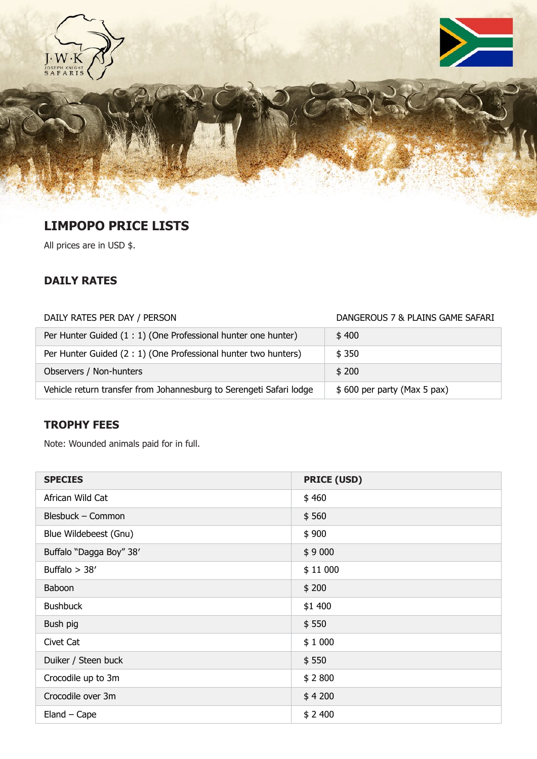





## **LIMPOPO PRICE LISTS**

All prices are in USD \$.

#### **DAILY RATES**

# DAILY RATES PER DAY / PERSON DAILY RATES PER DAY / PERSON Per Hunter Guided  $(1:1)$  (One Professional hunter one hunter)  $\qquad$  \$ 400 Per Hunter Guided (2 : 1) (One Professional hunter two hunters) \$ 350 Observers / Non-hunters  $\frac{1}{2}$  200 Vehicle return transfer from Johannesburg to Serengeti Safari lodge \$ 600 per party (Max 5 pax)

#### **TROPHY FEES**

Note: Wounded animals paid for in full.

| <b>SPECIES</b>          | <b>PRICE (USD)</b> |
|-------------------------|--------------------|
| African Wild Cat        | \$460              |
| Blesbuck - Common       | \$560              |
| Blue Wildebeest (Gnu)   | \$900              |
| Buffalo "Dagga Boy" 38' | \$9000             |
| Buffalo $>$ 38'         | \$11000            |
| Baboon                  | \$200              |
| <b>Bushbuck</b>         | \$1 400            |
| Bush pig                | \$550              |
| Civet Cat               | \$1000             |
| Duiker / Steen buck     | \$550              |
| Crocodile up to 3m      | \$2800             |
| Crocodile over 3m       | \$4200             |
| $Eland - Cape$          | \$2,400            |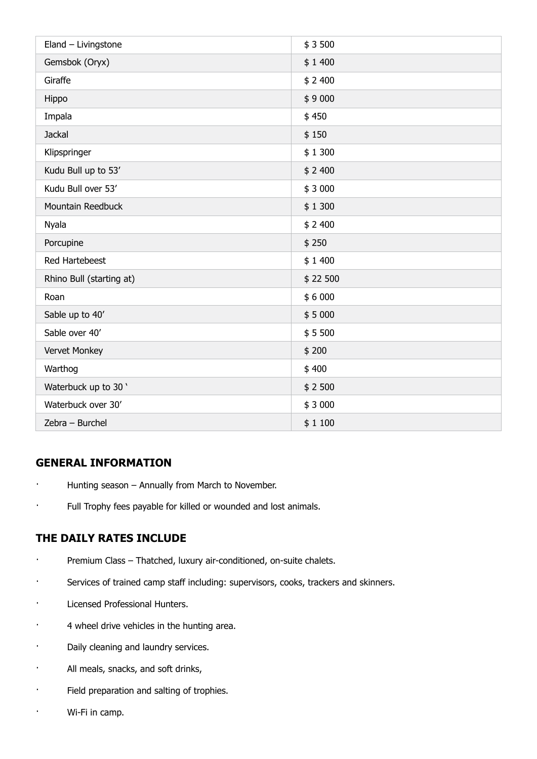| Eland - Livingstone      | \$3500   |
|--------------------------|----------|
| Gemsbok (Oryx)           | \$1400   |
| Giraffe                  | \$2,400  |
| Hippo                    | \$9000   |
| Impala                   | \$450    |
| Jackal                   | \$150    |
| Klipspringer             | \$1300   |
| Kudu Bull up to 53'      | \$2,400  |
| Kudu Bull over 53'       | \$3000   |
| Mountain Reedbuck        | \$1300   |
| Nyala                    | \$2,400  |
| Porcupine                | \$250    |
| Red Hartebeest           | \$1400   |
| Rhino Bull (starting at) | \$22 500 |
| Roan                     | \$6000   |
| Sable up to 40'          | \$5000   |
| Sable over 40'           | \$5500   |
| Vervet Monkey            | \$200    |
| Warthog                  | \$400    |
| Waterbuck up to 30 '     | \$2500   |
| Waterbuck over 30'       | \$3000   |
| Zebra - Burchel          | \$1100   |

#### **GENERAL INFORMATION**

- · Hunting season Annually from March to November.
- · Full Trophy fees payable for killed or wounded and lost animals.

#### **THE DAILY RATES INCLUDE**

- · Premium Class Thatched, luxury air-conditioned, on-suite chalets.
- · Services of trained camp staff including: supervisors, cooks, trackers and skinners.
- · Licensed Professional Hunters.
- · 4 wheel drive vehicles in the hunting area.
- · Daily cleaning and laundry services.
- · All meals, snacks, and soft drinks,
- · Field preparation and salting of trophies.
- · Wi-Fi in camp.